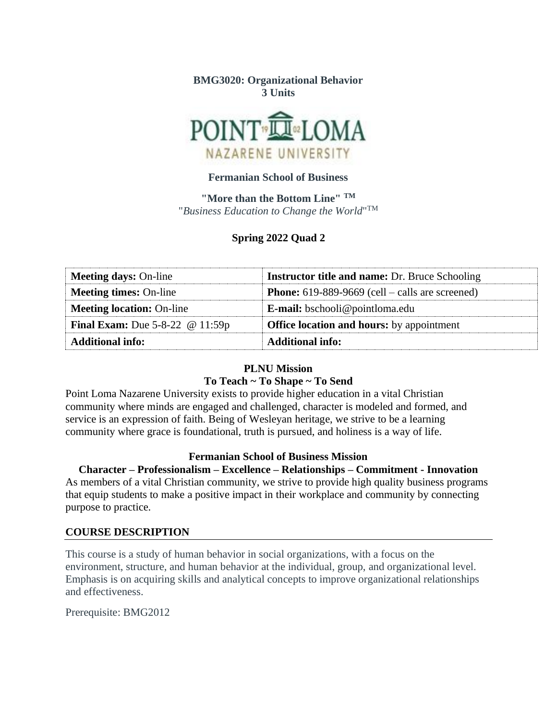### **BMG3020: Organizational Behavior 3 Units**



### **Fermanian School of Business**

**"More than the Bottom Line" TM** "*Business Education to Change the World*" TM

### **Spring 2022 Quad 2**

| <b>Meeting days: On-line</b>               | <b>Instructor title and name: Dr. Bruce Schooling</b>  |  |  |  |
|--------------------------------------------|--------------------------------------------------------|--|--|--|
| <b>Meeting times: On-line</b>              | <b>Phone:</b> 619-889-9669 (cell – calls are screened) |  |  |  |
| <b>Meeting location: On-line</b>           | <b>E-mail:</b> bschooli@pointloma.edu                  |  |  |  |
| <b>Final Exam:</b> Due $5-8-22$ @ $11:59p$ | <b>Office location and hours:</b> by appointment       |  |  |  |
| <b>Additional info:</b>                    | <b>Additional info:</b>                                |  |  |  |

#### **PLNU Mission**

#### **To Teach ~ To Shape ~ To Send**

Point Loma Nazarene University exists to provide higher education in a vital Christian community where minds are engaged and challenged, character is modeled and formed, and service is an expression of faith. Being of Wesleyan heritage, we strive to be a learning community where grace is foundational, truth is pursued, and holiness is a way of life.

#### **Fermanian School of Business Mission**

#### **Character – Professionalism – Excellence – Relationships – Commitment - Innovation**

As members of a vital Christian community, we strive to provide high quality business programs that equip students to make a positive impact in their workplace and community by connecting purpose to practice.

#### **COURSE DESCRIPTION**

This course is a study of human behavior in social organizations, with a focus on the environment, structure, and human behavior at the individual, group, and organizational level. Emphasis is on acquiring skills and analytical concepts to improve organizational relationships and effectiveness.

Prerequisite: BMG2012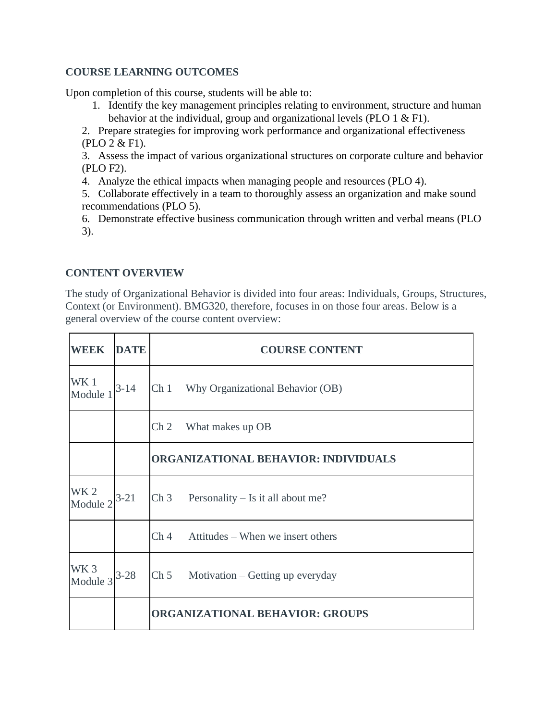## **COURSE LEARNING OUTCOMES**

Upon completion of this course, students will be able to:

1. Identify the key management principles relating to environment, structure and human behavior at the individual, group and organizational levels (PLO 1 & F1).

2. Prepare strategies for improving work performance and organizational effectiveness (PLO 2 & F1).

3. Assess the impact of various organizational structures on corporate culture and behavior (PLO F2).

4. Analyze the ethical impacts when managing people and resources (PLO 4).

5. Collaborate effectively in a team to thoroughly assess an organization and make sound recommendations (PLO 5).

6. Demonstrate effective business communication through written and verbal means (PLO 3).

## **CONTENT OVERVIEW**

The study of Organizational Behavior is divided into four areas: Individuals, Groups, Structures, Context (or Environment). BMG320, therefore, focuses in on those four areas. Below is a general overview of the course content overview:

| <b>WEEK</b>                 | <b>DATE</b> | <b>COURSE CONTENT</b>                                                 |  |  |  |  |  |  |
|-----------------------------|-------------|-----------------------------------------------------------------------|--|--|--|--|--|--|
| WK 1<br>Module 1            | $3 - 14$    | Ch 1 Why Organizational Behavior (OB)                                 |  |  |  |  |  |  |
|                             |             | Ch <sub>2</sub><br>What makes up OB                                   |  |  |  |  |  |  |
|                             |             | ORGANIZATIONAL BEHAVIOR: INDIVIDUALS                                  |  |  |  |  |  |  |
| WK <sub>2</sub><br>Module 2 | $3 - 21$    | $Ch 3$ Personality – Is it all about me?                              |  |  |  |  |  |  |
|                             |             | Attitudes – When we insert others<br>Ch <sub>4</sub>                  |  |  |  |  |  |  |
| WK <sub>3</sub><br>Module 3 | $3 - 28$    | $\mathop{\mathrm{Ch}}\nolimits 5$<br>Motivation – Getting up everyday |  |  |  |  |  |  |
|                             |             | <b>ORGANIZATIONAL BEHAVIOR: GROUPS</b>                                |  |  |  |  |  |  |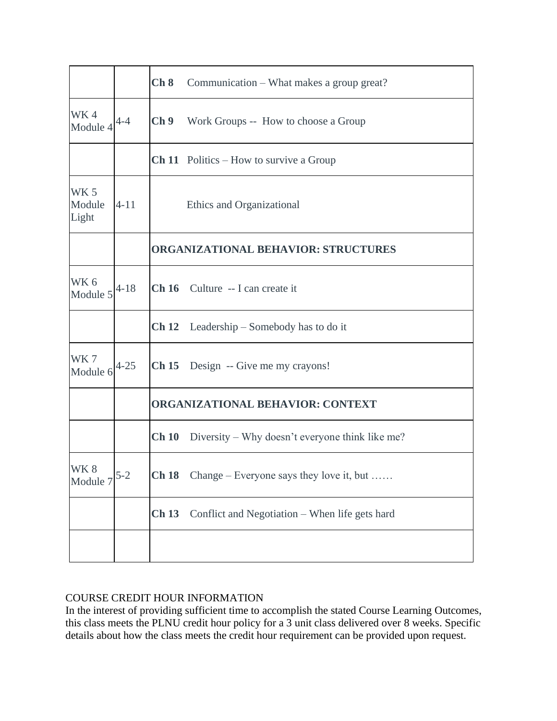|                                |                                         | Ch 8                                                    | Communication – What makes a group great?                    |  |  |  |  |
|--------------------------------|-----------------------------------------|---------------------------------------------------------|--------------------------------------------------------------|--|--|--|--|
| WK4<br>Module 4                | $4 - 4$                                 | Ch <sub>9</sub><br>Work Groups -- How to choose a Group |                                                              |  |  |  |  |
|                                |                                         |                                                         | <b>Ch 11</b> Politics – How to survive a Group               |  |  |  |  |
| <b>WK 5</b><br>Module<br>Light | $4 - 11$                                | Ethics and Organizational                               |                                                              |  |  |  |  |
|                                |                                         | <b>ORGANIZATIONAL BEHAVIOR: STRUCTURES</b>              |                                                              |  |  |  |  |
| WK 6<br>Module 5               | $4 - 18$                                |                                                         | Ch 16 Culture -- I can create it                             |  |  |  |  |
|                                |                                         |                                                         | <b>Ch 12</b> Leadership – Somebody has to do it              |  |  |  |  |
| WK7<br>Module 6                | $4 - 25$                                |                                                         | Ch 15 Design -- Give me my crayons!                          |  |  |  |  |
|                                | <b>ORGANIZATIONAL BEHAVIOR: CONTEXT</b> |                                                         |                                                              |  |  |  |  |
|                                |                                         |                                                         | <b>Ch 10</b> Diversity – Why doesn't everyone think like me? |  |  |  |  |
| WK8<br>Module 7                | $5 - 2$                                 |                                                         | <b>Ch 18</b> Change – Everyone says they love it, but        |  |  |  |  |
|                                |                                         | <b>Ch 13</b>                                            | Conflict and Negotiation - When life gets hard               |  |  |  |  |
|                                |                                         |                                                         |                                                              |  |  |  |  |

# COURSE CREDIT HOUR INFORMATION

In the interest of providing sufficient time to accomplish the stated Course Learning Outcomes, this class meets the PLNU credit hour policy for a 3 unit class delivered over 8 weeks. Specific details about how the class meets the credit hour requirement can be provided upon request.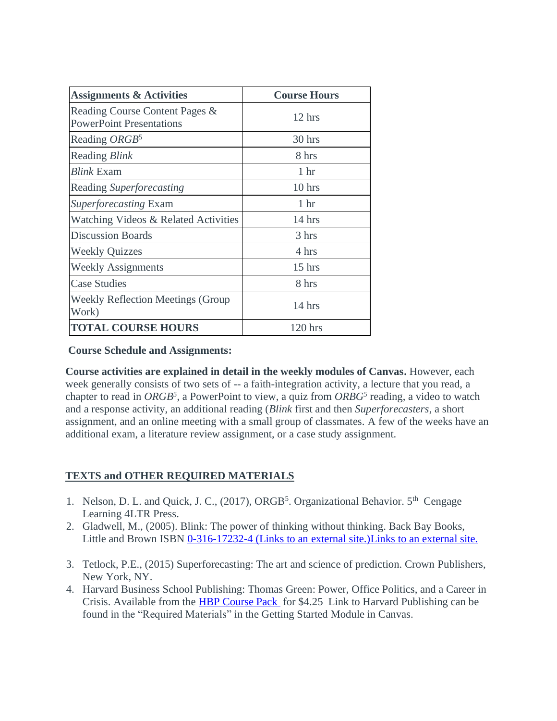| <b>Assignments &amp; Activities</b>                               | <b>Course Hours</b> |  |  |
|-------------------------------------------------------------------|---------------------|--|--|
| Reading Course Content Pages &<br><b>PowerPoint Presentations</b> | $12 \text{ hrs}$    |  |  |
| Reading ORGB <sup>5</sup>                                         | 30 hrs              |  |  |
| Reading <i>Blink</i>                                              | 8 hrs               |  |  |
| <i>Blink</i> Exam                                                 | 1 <sub>hr</sub>     |  |  |
| Reading Superforecasting                                          | $10$ hrs            |  |  |
| <i>Superforecasting</i> Exam                                      | 1 <sub>hr</sub>     |  |  |
| Watching Videos & Related Activities                              | $14$ hrs            |  |  |
| <b>Discussion Boards</b>                                          | 3 hrs               |  |  |
| <b>Weekly Quizzes</b>                                             | 4 hrs               |  |  |
| <b>Weekly Assignments</b>                                         | $15$ hrs            |  |  |
| <b>Case Studies</b>                                               | 8 hrs               |  |  |
| <b>Weekly Reflection Meetings (Group</b><br>Work)                 | 14 hrs              |  |  |
| <b>TOTAL COURSE HOURS</b>                                         | $120$ hrs           |  |  |

**Course Schedule and Assignments:**

**Course activities are explained in detail in the weekly modules of Canvas.** However, each week generally consists of two sets of -- a faith-integration activity, a lecture that you read, a chapter to read in *ORGB<sup>5</sup>* , a PowerPoint to view, a quiz from *ORBG<sup>5</sup>* reading, a video to watch and a response activity, an additional reading (*Blink* first and then *Superforecasters*, a short assignment, and an online meeting with a small group of classmates. A few of the weeks have an additional exam, a literature review assignment, or a case study assignment.

# **TEXTS and OTHER REQUIRED MATERIALS**

- 1. Nelson, D. L. and Quick, J. C., (2017), ORGB<sup>5</sup>. Organizational Behavior. 5<sup>th</sup> Cengage Learning 4LTR Press.
- 2. Gladwell, M., (2005). Blink: The power of thinking without thinking. Back Bay Books, Little and Brown ISBN [0-316-17232-4](https://en.wikipedia.org/wiki/Special:BookSources/0-316-17232-4) (Links to an external site.) Links to an external site.
- 3. Tetlock, P.E., (2015) Superforecasting: The art and science of prediction. Crown Publishers, New York, NY.
- 4. Harvard Business School Publishing: Thomas Green: Power, Office Politics, and a Career in Crisis. Available from the [HBP Course Pack](http://cb.hbsp.harvard.edu/cbmp/access/79169354) for \$4.25 Link to Harvard Publishing can be found in the "Required Materials" in the Getting Started Module in Canvas.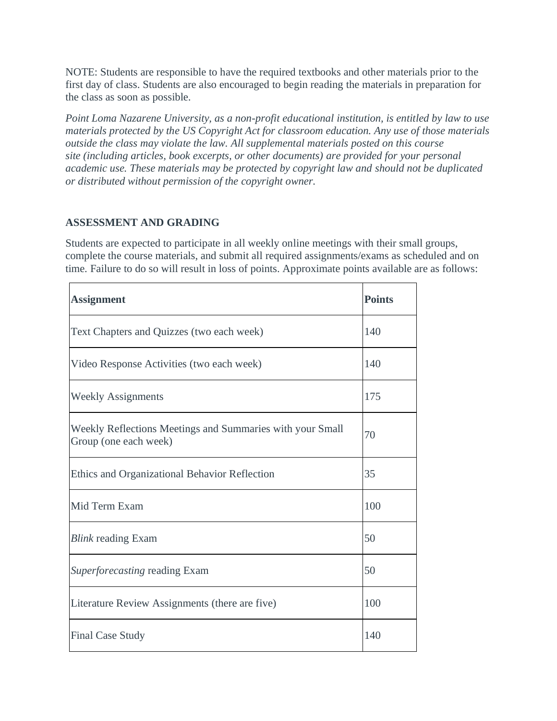NOTE: Students are responsible to have the required textbooks and other materials prior to the first day of class. Students are also encouraged to begin reading the materials in preparation for the class as soon as possible.

*Point Loma Nazarene University, as a non-profit educational institution, is entitled by law to use materials protected by the US Copyright Act for classroom education. Any use of those materials outside the class may violate the law. All supplemental materials posted on this course site (including articles, book excerpts, or other documents) are provided for your personal academic use. These materials may be protected by copyright law and should not be duplicated or distributed without permission of the copyright owner.*

### **ASSESSMENT AND GRADING**

Students are expected to participate in all weekly online meetings with their small groups, complete the course materials, and submit all required assignments/exams as scheduled and on time. Failure to do so will result in loss of points. Approximate points available are as follows:

| <b>Assignment</b>                                                                  | <b>Points</b> |
|------------------------------------------------------------------------------------|---------------|
| Text Chapters and Quizzes (two each week)                                          | 140           |
| Video Response Activities (two each week)                                          | 140           |
| <b>Weekly Assignments</b>                                                          | 175           |
| Weekly Reflections Meetings and Summaries with your Small<br>Group (one each week) | 70            |
| Ethics and Organizational Behavior Reflection                                      | 35            |
| Mid Term Exam                                                                      | 100           |
| <i>Blink</i> reading Exam                                                          | 50            |
| <i>Superforecasting reading Exam</i>                                               | 50            |
| Literature Review Assignments (there are five)                                     | 100           |
| <b>Final Case Study</b>                                                            | 140           |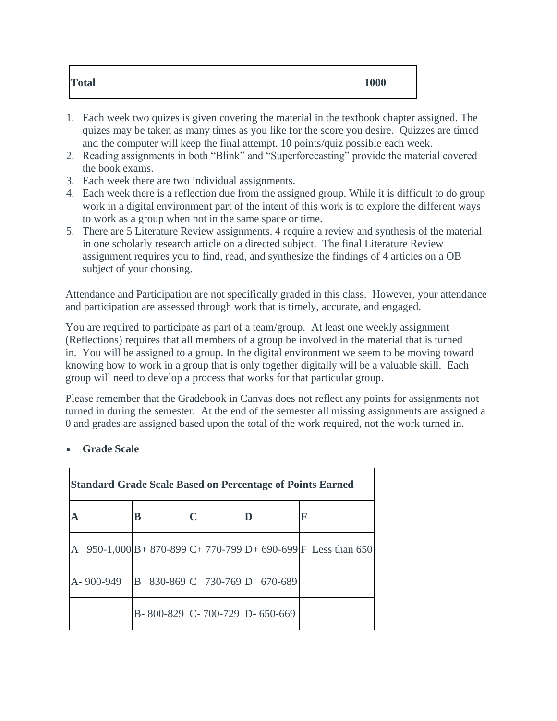| <b>Total</b><br>1000 |  |
|----------------------|--|
|----------------------|--|

- 1. Each week two quizes is given covering the material in the textbook chapter assigned. The quizes may be taken as many times as you like for the score you desire. Quizzes are timed and the computer will keep the final attempt. 10 points/quiz possible each week.
- 2. Reading assignments in both "Blink" and "Superforecasting" provide the material covered the book exams.
- 3. Each week there are two individual assignments.
- 4. Each week there is a reflection due from the assigned group. While it is difficult to do group work in a digital environment part of the intent of this work is to explore the different ways to work as a group when not in the same space or time.
- 5. There are 5 Literature Review assignments. 4 require a review and synthesis of the material in one scholarly research article on a directed subject. The final Literature Review assignment requires you to find, read, and synthesize the findings of 4 articles on a OB subject of your choosing.

Attendance and Participation are not specifically graded in this class. However, your attendance and participation are assessed through work that is timely, accurate, and engaged.

You are required to participate as part of a team/group. At least one weekly assignment (Reflections) requires that all members of a group be involved in the material that is turned in. You will be assigned to a group. In the digital environment we seem to be moving toward knowing how to work in a group that is only together digitally will be a valuable skill. Each group will need to develop a process that works for that particular group.

Please remember that the Gradebook in Canvas does not reflect any points for assignments not turned in during the semester. At the end of the semester all missing assignments are assigned a 0 and grades are assigned based upon the total of the work required, not the work turned in.

|   |                                         | <b>Standard Grade Scale Based on Percentage of Points Earned</b> |  |  |  |  |                               |                                                               |
|---|-----------------------------------------|------------------------------------------------------------------|--|--|--|--|-------------------------------|---------------------------------------------------------------|
|   |                                         | B                                                                |  |  |  |  |                               | $\mathbf F$                                                   |
| A |                                         |                                                                  |  |  |  |  |                               | 950-1,000 B + 870-899 C + 770-799 D + 690-699 F Less than 650 |
|   | A-900-949 B 830-869 C 730-769 D 670-689 |                                                                  |  |  |  |  |                               |                                                               |
|   |                                         |                                                                  |  |  |  |  | B-800-829 C-700-729 D-650-669 |                                                               |

# • **Grade Scale**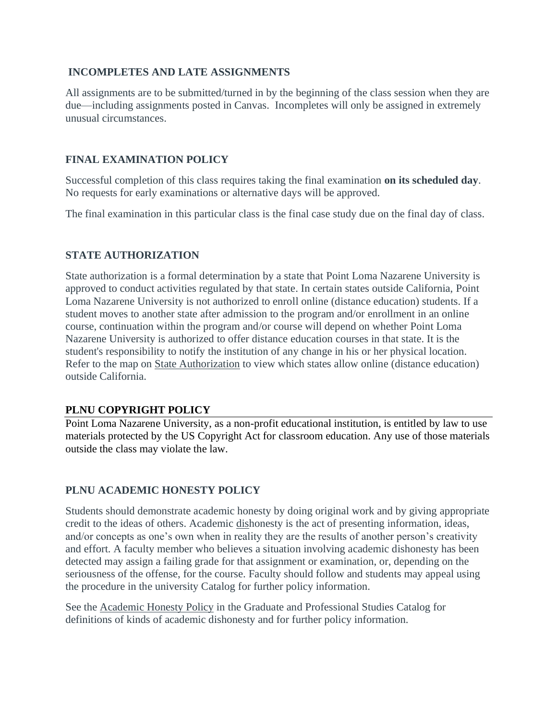## **INCOMPLETES AND LATE ASSIGNMENTS**

All assignments are to be submitted/turned in by the beginning of the class session when they are due—including assignments posted in Canvas. Incompletes will only be assigned in extremely unusual circumstances.

## **FINAL EXAMINATION POLICY**

Successful completion of this class requires taking the final examination **on its scheduled day**. No requests for early examinations or alternative days will be approved.

The final examination in this particular class is the final case study due on the final day of class.

## **STATE AUTHORIZATION**

State authorization is a formal determination by a state that Point Loma Nazarene University is approved to conduct activities regulated by that state. In certain states outside California, Point Loma Nazarene University is not authorized to enroll online (distance education) students. If a student moves to another state after admission to the program and/or enrollment in an online course, continuation within the program and/or course will depend on whether Point Loma Nazarene University is authorized to offer distance education courses in that state. It is the student's responsibility to notify the institution of any change in his or her physical location. Refer to the map on State Authorization to view which states allow online (distance education) outside California.

## **PLNU COPYRIGHT POLICY**

Point Loma Nazarene University, as a non-profit educational institution, is entitled by law to use materials protected by the US Copyright Act for classroom education. Any use of those materials outside the class may violate the law.

# **PLNU ACADEMIC HONESTY POLICY**

Students should demonstrate academic honesty by doing original work and by giving appropriate credit to the ideas of others. Academic dishonesty is the act of presenting information, ideas, and/or concepts as one's own when in reality they are the results of another person's creativity and effort. A faculty member who believes a situation involving academic dishonesty has been detected may assign a failing grade for that assignment or examination, or, depending on the seriousness of the offense, for the course. Faculty should follow and students may appeal using the procedure in the university Catalog for further policy information.

See the Academic Honesty Policy in the Graduate and Professional Studies Catalog for definitions of kinds of academic dishonesty and for further policy information.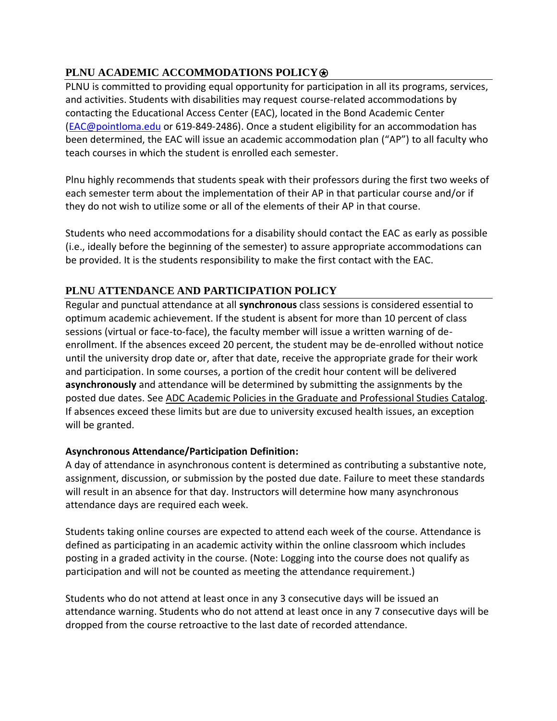# **PLNU ACADEMIC ACCOMMODATIONS POLICY<sup>®</sup>**

PLNU is committed to providing equal opportunity for participation in all its programs, services, and activities. Students with disabilities may request course-related accommodations by contacting the Educational Access Center (EAC), located in the Bond Academic Center [\(EAC@pointloma.edu](mailto:EAC@pointloma.edu) or 619-849-2486). Once a student eligibility for an accommodation has been determined, the EAC will issue an academic accommodation plan ("AP") to all faculty who teach courses in which the student is enrolled each semester.

Plnu highly recommends that students speak with their professors during the first two weeks of each semester term about the implementation of their AP in that particular course and/or if they do not wish to utilize some or all of the elements of their AP in that course.

Students who need accommodations for a disability should contact the EAC as early as possible (i.e., ideally before the beginning of the semester) to assure appropriate accommodations can be provided. It is the students responsibility to make the first contact with the EAC.

# **PLNU ATTENDANCE AND PARTICIPATION POLICY**

Regular and punctual attendance at all **synchronous** class sessions is considered essential to optimum academic achievement. If the student is absent for more than 10 percent of class sessions (virtual or face-to-face), the faculty member will issue a written warning of deenrollment. If the absences exceed 20 percent, the student may be de-enrolled without notice until the university drop date or, after that date, receive the appropriate grade for their work and participation. In some courses, a portion of the credit hour content will be delivered **asynchronously** and attendance will be determined by submitting the assignments by the posted due dates. See ADC Academic Policies in the Graduate and Professional Studies Catalog. If absences exceed these limits but are due to university excused health issues, an exception will be granted.

## **Asynchronous Attendance/Participation Definition:**

A day of attendance in asynchronous content is determined as contributing a substantive note, assignment, discussion, or submission by the posted due date. Failure to meet these standards will result in an absence for that day. Instructors will determine how many asynchronous attendance days are required each week.

Students taking online courses are expected to attend each week of the course. Attendance is defined as participating in an academic activity within the online classroom which includes posting in a graded activity in the course. (Note: Logging into the course does not qualify as participation and will not be counted as meeting the attendance requirement.)

Students who do not attend at least once in any 3 consecutive days will be issued an attendance warning. Students who do not attend at least once in any 7 consecutive days will be dropped from the course retroactive to the last date of recorded attendance.